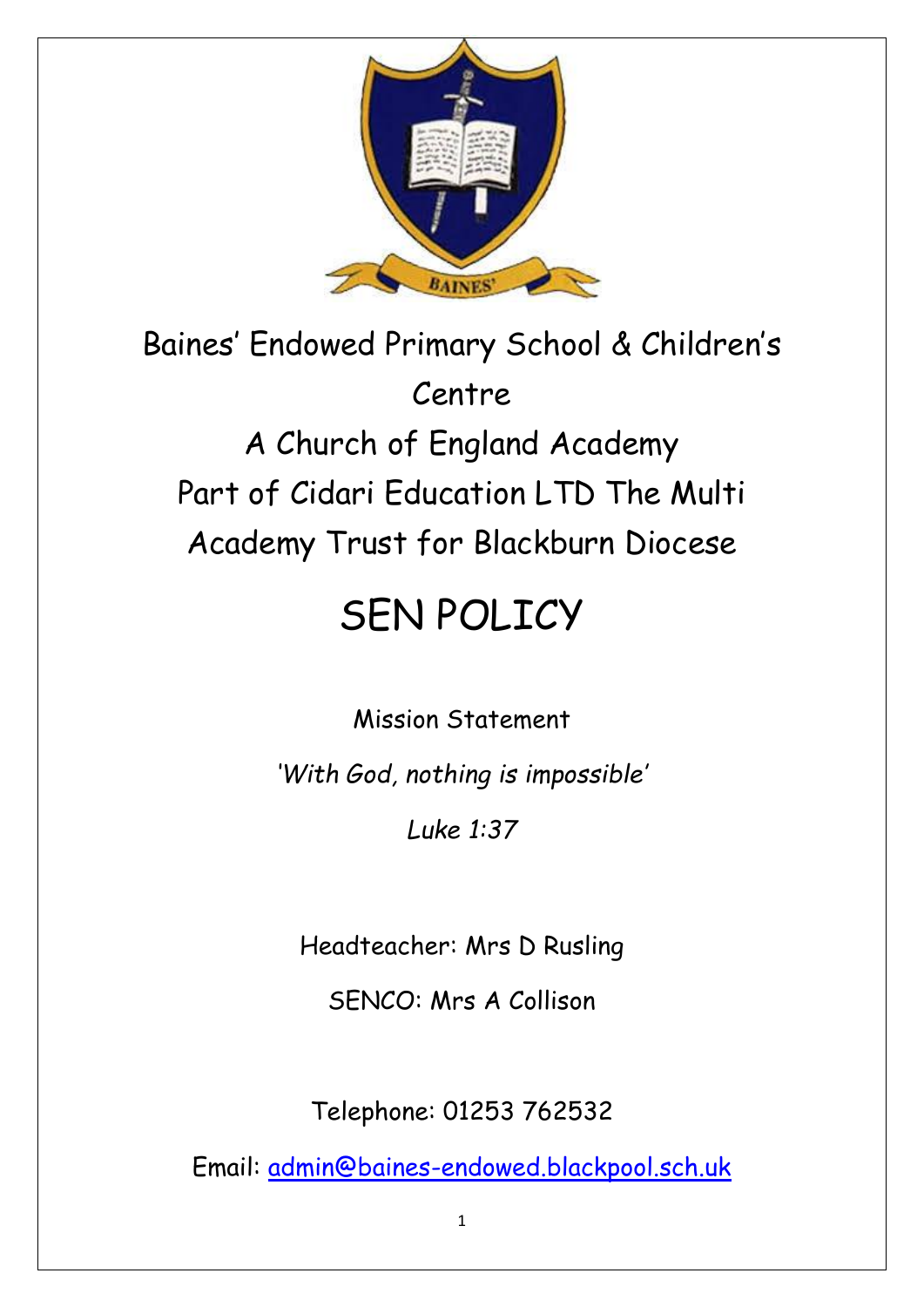

Baines' Endowed Primary School & Children's Centre A Church of England Academy Part of Cidari Education LTD The Multi Academy Trust for Blackburn Diocese

# SEN POLICY

Mission Statement

*'With God, nothing is impossible'*

*Luke 1:37*

Headteacher: Mrs D Rusling

SENCO: Mrs A Collison

Telephone: 01253 762532

Email: [admin@baines-endowed.blackpool.sch.uk](mailto:admin@baines-endowed.blackpool.sch.uk)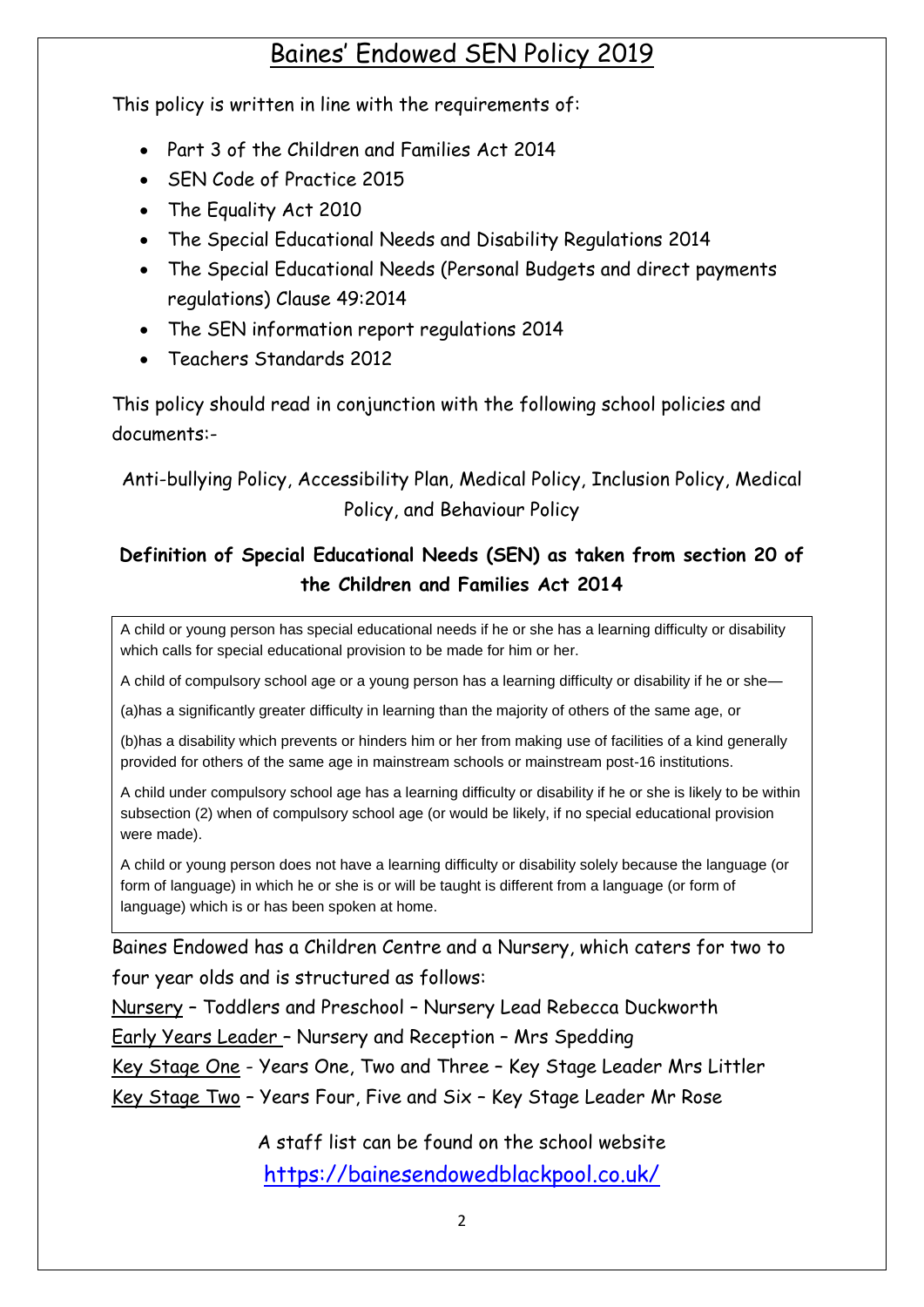## Baines' Endowed SEN Policy 2019

This policy is written in line with the requirements of:

- Part 3 of the Children and Families Act 2014
- SEN Code of Practice 2015
- The Equality Act 2010
- The Special Educational Needs and Disability Regulations 2014
- The Special Educational Needs (Personal Budgets and direct payments regulations) Clause 49:2014
- The SEN information report regulations 2014
- Teachers Standards 2012

This policy should read in conjunction with the following school policies and documents:-

## Anti-bullying Policy, Accessibility Plan, Medical Policy, Inclusion Policy, Medical Policy, and Behaviour Policy

## **Definition of Special Educational Needs (SEN) as taken from section 20 of the Children and Families Act 2014**

A child or young person has special educational needs if he or she has a learning difficulty or disability which calls for special educational provision to be made for him or her.

A child of compulsory school age or a young person has a learning difficulty or disability if he or she—

(a)has a significantly greater difficulty in learning than the majority of others of the same age, or

(b)has a disability which prevents or hinders him or her from making use of facilities of a kind generally provided for others of the same age in mainstream schools or mainstream post-16 institutions.

A child under compulsory school age has a learning difficulty or disability if he or she is likely to be within subsection (2) when of compulsory school age (or would be likely, if no special educational provision were made).

A child or young person does not have a learning difficulty or disability solely because the language (or form of language) in which he or she is or will be taught is different from a language (or form of language) which is or has been spoken at home.

Baines Endowed has a Children Centre and a Nursery, which caters for two to four year olds and is structured as follows:

Nursery – Toddlers and Preschool – Nursery Lead Rebecca Duckworth

Early Years Leader – Nursery and Reception – Mrs Spedding

Key Stage One - Years One, Two and Three – Key Stage Leader Mrs Littler

Key Stage Two – Years Four, Five and Six – Key Stage Leader Mr Rose

A staff list can be found on the school website <https://bainesendowedblackpool.co.uk/>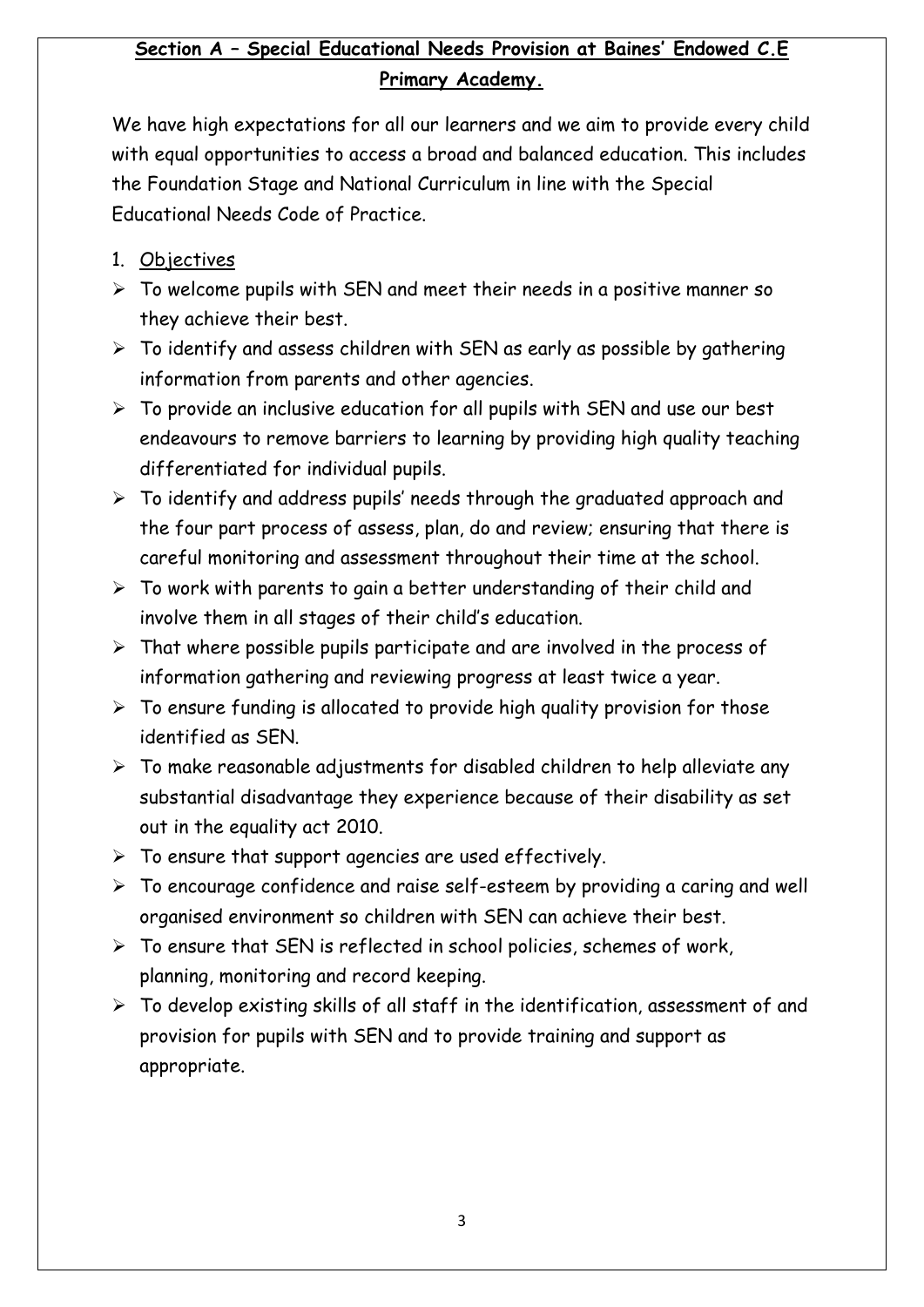## **Section A – Special Educational Needs Provision at Baines' Endowed C.E Primary Academy.**

We have high expectations for all our learners and we aim to provide every child with equal opportunities to access a broad and balanced education. This includes the Foundation Stage and National Curriculum in line with the Special Educational Needs Code of Practice.

- 1. Objectives
- $\triangleright$  To welcome pupils with SEN and meet their needs in a positive manner so they achieve their best.
- $\triangleright$  To identify and assess children with SEN as early as possible by gathering information from parents and other agencies.
- $\triangleright$  To provide an inclusive education for all pupils with SEN and use our best endeavours to remove barriers to learning by providing high quality teaching differentiated for individual pupils.
- $\triangleright$  To identify and address pupils' needs through the graduated approach and the four part process of assess, plan, do and review; ensuring that there is careful monitoring and assessment throughout their time at the school.
- $\triangleright$  To work with parents to gain a better understanding of their child and involve them in all stages of their child's education.
- $\triangleright$  That where possible pupils participate and are involved in the process of information gathering and reviewing progress at least twice a year.
- $\triangleright$  To ensure funding is allocated to provide high quality provision for those identified as SEN.
- $\triangleright$  To make reasonable adjustments for disabled children to help alleviate any substantial disadvantage they experience because of their disability as set out in the equality act 2010.
- $\triangleright$  To ensure that support agencies are used effectively.
- $\triangleright$  To encourage confidence and raise self-esteem by providing a caring and well organised environment so children with SEN can achieve their best.
- $\triangleright$  To ensure that SEN is reflected in school policies, schemes of work, planning, monitoring and record keeping.
- $\triangleright$  To develop existing skills of all staff in the identification, assessment of and provision for pupils with SEN and to provide training and support as appropriate.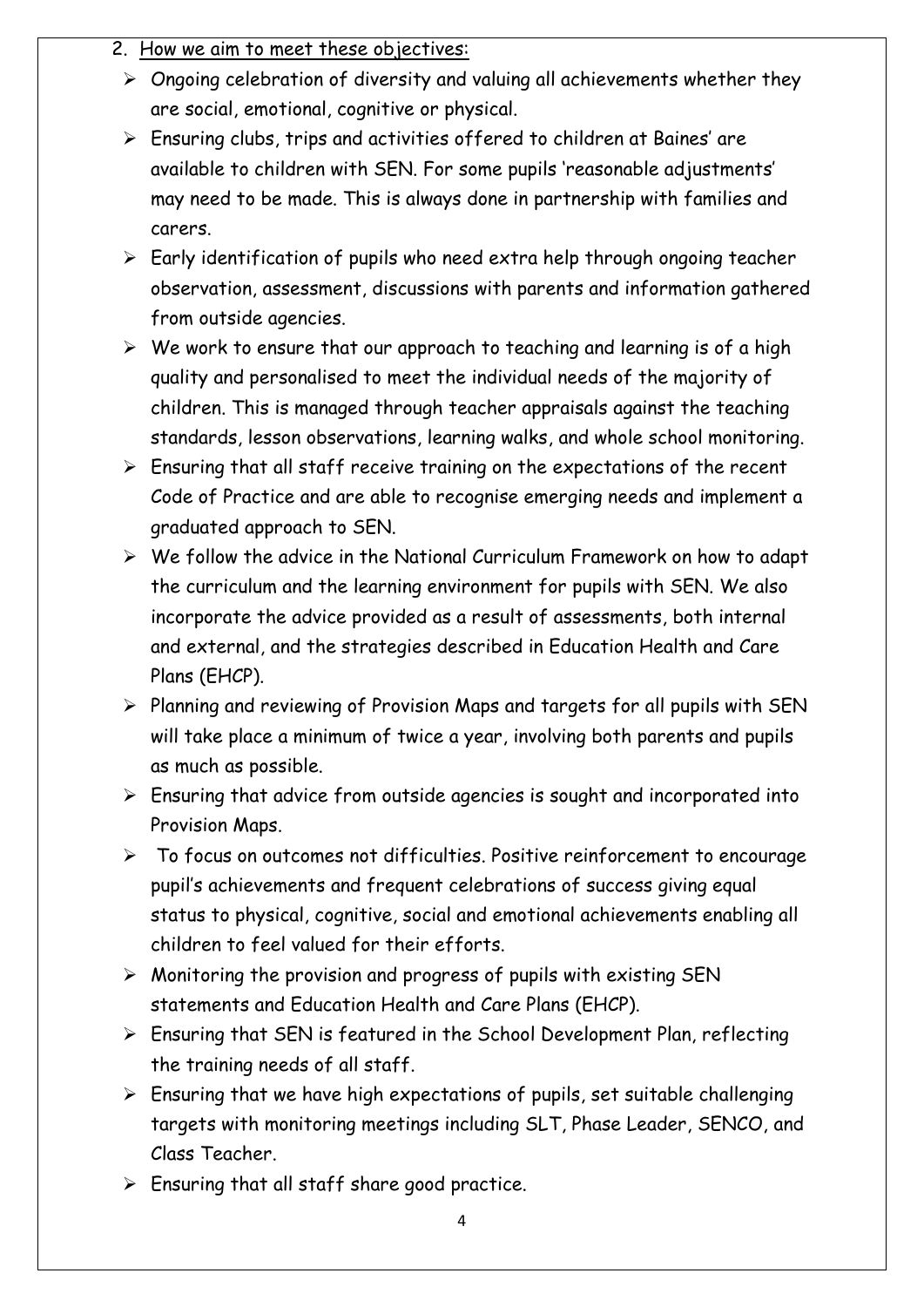#### 2. How we aim to meet these objectives:

- $\triangleright$  Ongoing celebration of diversity and valuing all achievements whether they are social, emotional, cognitive or physical.
- $\triangleright$  Ensuring clubs, trips and activities offered to children at Baines' are available to children with SEN. For some pupils 'reasonable adjustments' may need to be made. This is always done in partnership with families and carers.
- $\triangleright$  Early identification of pupils who need extra help through ongoing teacher observation, assessment, discussions with parents and information gathered from outside agencies.
- $\triangleright$  We work to ensure that our approach to teaching and learning is of a high quality and personalised to meet the individual needs of the majority of children. This is managed through teacher appraisals against the teaching standards, lesson observations, learning walks, and whole school monitoring.
- $\triangleright$  Ensuring that all staff receive training on the expectations of the recent Code of Practice and are able to recognise emerging needs and implement a graduated approach to SEN.
- $\triangleright$  We follow the advice in the National Curriculum Framework on how to adapt the curriculum and the learning environment for pupils with SEN. We also incorporate the advice provided as a result of assessments, both internal and external, and the strategies described in Education Health and Care Plans (EHCP).
- $\triangleright$  Planning and reviewing of Provision Maps and targets for all pupils with SEN will take place a minimum of twice a year, involving both parents and pupils as much as possible.
- $\triangleright$  Ensuring that advice from outside agencies is sought and incorporated into Provision Maps.
- To focus on outcomes not difficulties. Positive reinforcement to encourage pupil's achievements and frequent celebrations of success giving equal status to physical, cognitive, social and emotional achievements enabling all children to feel valued for their efforts.
- $\triangleright$  Monitoring the provision and progress of pupils with existing SEN statements and Education Health and Care Plans (EHCP).
- $\triangleright$  Ensuring that SEN is featured in the School Development Plan, reflecting the training needs of all staff.
- $\triangleright$  Ensuring that we have high expectations of pupils, set suitable challenging targets with monitoring meetings including SLT, Phase Leader, SENCO, and Class Teacher.
- $\triangleright$  Ensuring that all staff share good practice.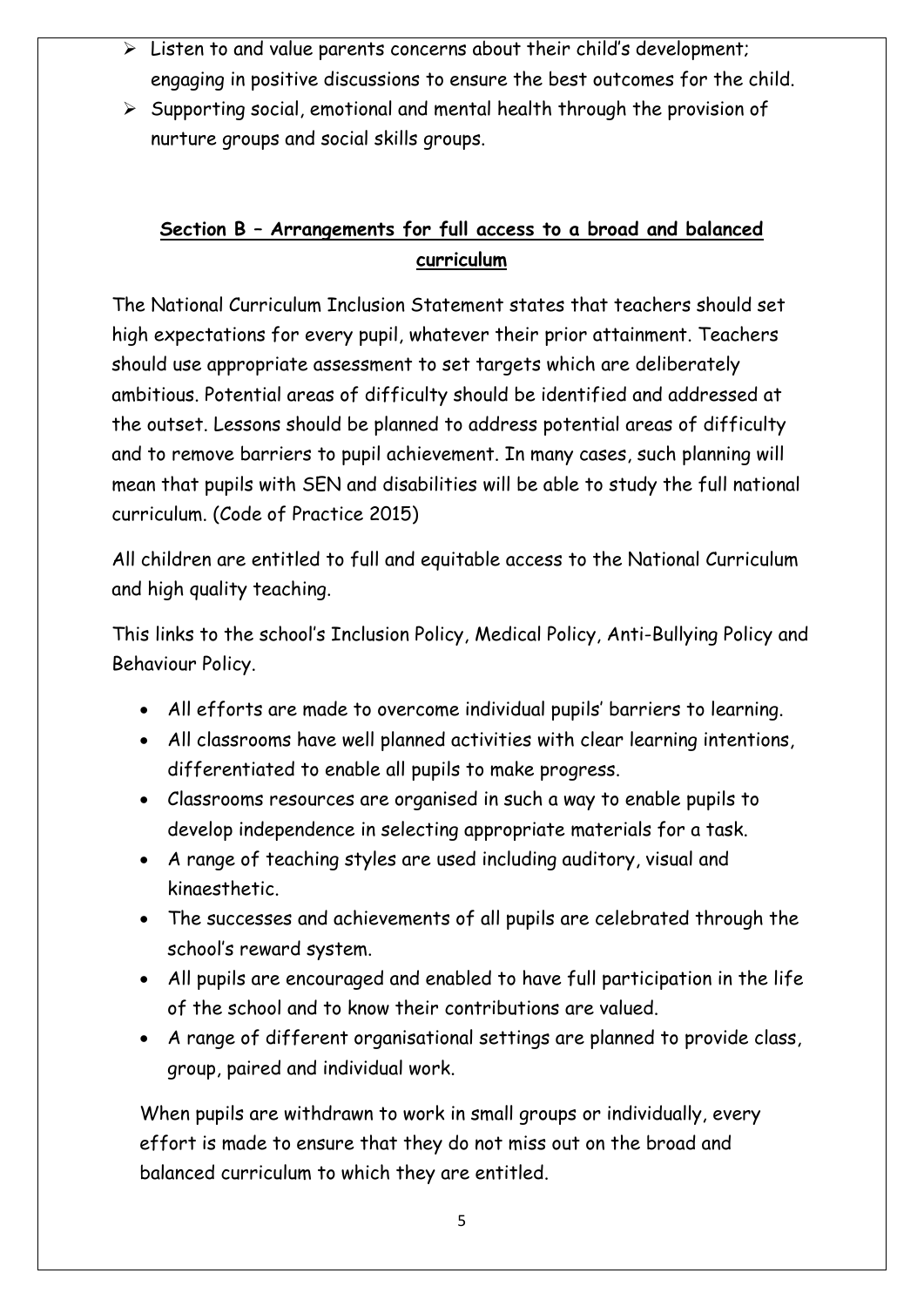- $\triangleright$  Listen to and value parents concerns about their child's development; engaging in positive discussions to ensure the best outcomes for the child.
- $\triangleright$  Supporting social, emotional and mental health through the provision of nurture groups and social skills groups.

## **Section B – Arrangements for full access to a broad and balanced curriculum**

The National Curriculum Inclusion Statement states that teachers should set high expectations for every pupil, whatever their prior attainment. Teachers should use appropriate assessment to set targets which are deliberately ambitious. Potential areas of difficulty should be identified and addressed at the outset. Lessons should be planned to address potential areas of difficulty and to remove barriers to pupil achievement. In many cases, such planning will mean that pupils with SEN and disabilities will be able to study the full national curriculum. (Code of Practice 2015)

All children are entitled to full and equitable access to the National Curriculum and high quality teaching.

This links to the school's Inclusion Policy, Medical Policy, Anti-Bullying Policy and Behaviour Policy.

- All efforts are made to overcome individual pupils' barriers to learning.
- All classrooms have well planned activities with clear learning intentions, differentiated to enable all pupils to make progress.
- Classrooms resources are organised in such a way to enable pupils to develop independence in selecting appropriate materials for a task.
- A range of teaching styles are used including auditory, visual and kinaesthetic.
- The successes and achievements of all pupils are celebrated through the school's reward system.
- All pupils are encouraged and enabled to have full participation in the life of the school and to know their contributions are valued.
- A range of different organisational settings are planned to provide class, group, paired and individual work.

When pupils are withdrawn to work in small groups or individually, every effort is made to ensure that they do not miss out on the broad and balanced curriculum to which they are entitled.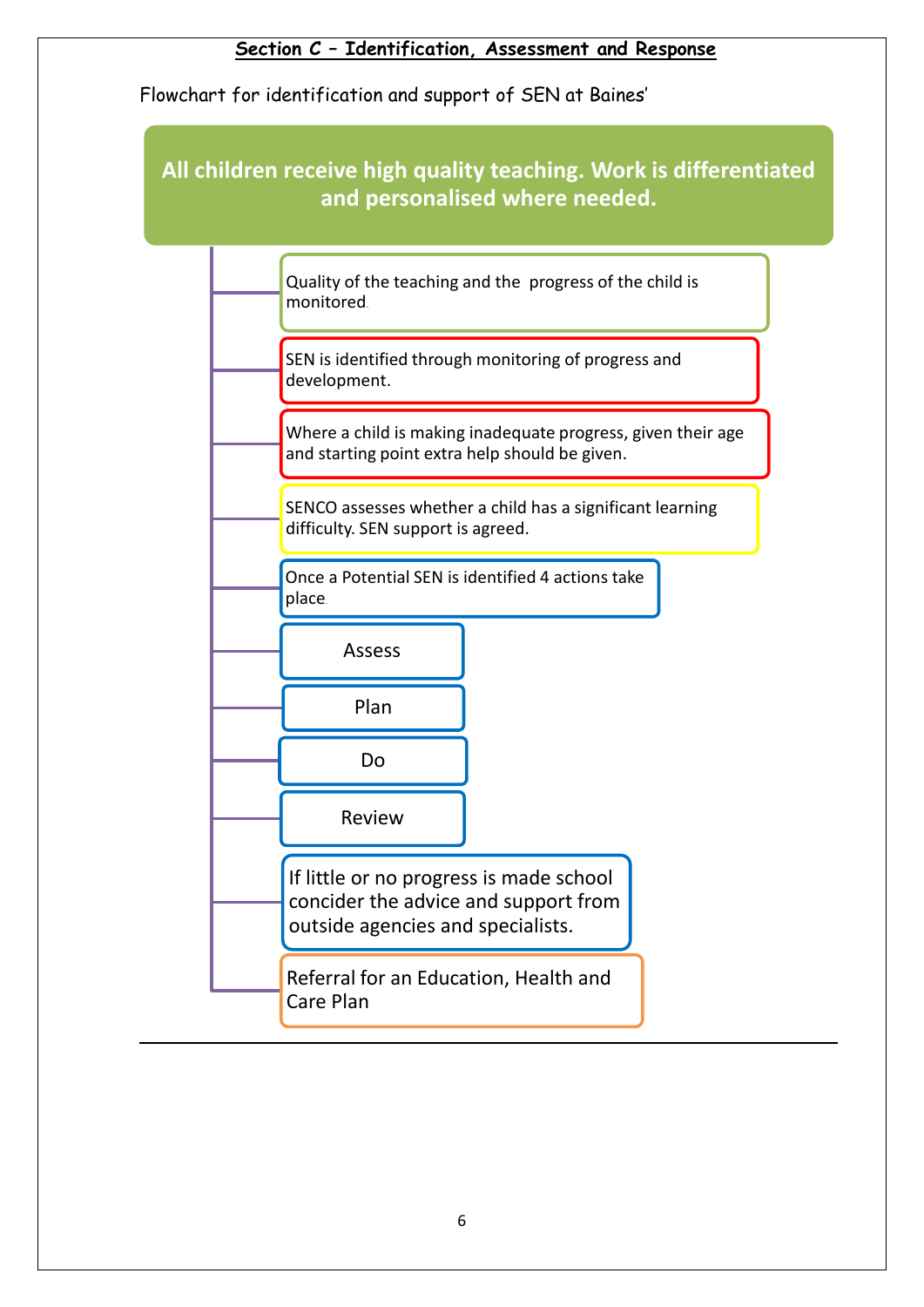## **Section C – Identification, Assessment and Response**

Flowchart for identification and support of SEN at Baines'

## **All children receive high quality teaching. Work is differentiated and personalised where needed.**

|  | Quality of the teaching and the progress of the child is<br>monitored.                                               |
|--|----------------------------------------------------------------------------------------------------------------------|
|  | SEN is identified through monitoring of progress and<br>development.                                                 |
|  | Where a child is making inadequate progress, given their age<br>and starting point extra help should be given.       |
|  | SENCO assesses whether a child has a significant learning<br>difficulty. SEN support is agreed.                      |
|  | Once a Potential SEN is identified 4 actions take<br>place.                                                          |
|  | <b>Assess</b>                                                                                                        |
|  | Plan                                                                                                                 |
|  | Do                                                                                                                   |
|  | Review                                                                                                               |
|  | If little or no progress is made school<br>concider the advice and support from<br>outside agencies and specialists. |
|  | Referral for an Education, Health and<br>Care Plan                                                                   |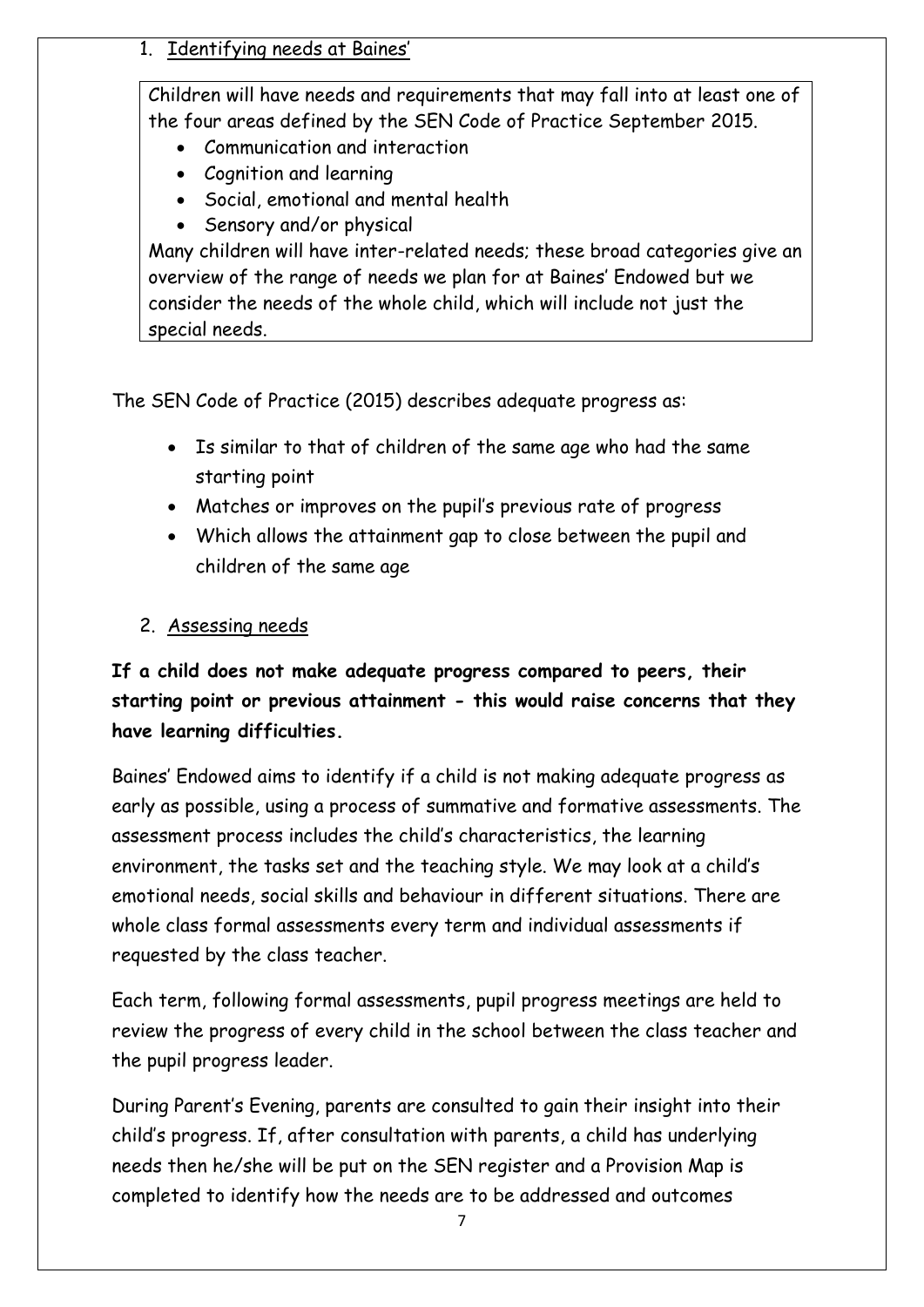#### 1. Identifying needs at Baines'

Children will have needs and requirements that may fall into at least one of the four areas defined by the SEN Code of Practice September 2015.

- Communication and interaction
- Cognition and learning
- Social, emotional and mental health
- Sensory and/or physical

Many children will have inter-related needs; these broad categories give an overview of the range of needs we plan for at Baines' Endowed but we consider the needs of the whole child, which will include not just the special needs.

The SEN Code of Practice (2015) describes adequate progress as:

- Is similar to that of children of the same age who had the same starting point
- Matches or improves on the pupil's previous rate of progress
- Which allows the attainment gap to close between the pupil and children of the same age

## 2. Assessing needs

## **If a child does not make adequate progress compared to peers, their starting point or previous attainment - this would raise concerns that they have learning difficulties.**

Baines' Endowed aims to identify if a child is not making adequate progress as early as possible, using a process of summative and formative assessments. The assessment process includes the child's characteristics, the learning environment, the tasks set and the teaching style. We may look at a child's emotional needs, social skills and behaviour in different situations. There are whole class formal assessments every term and individual assessments if requested by the class teacher.

Each term, following formal assessments, pupil progress meetings are held to review the progress of every child in the school between the class teacher and the pupil progress leader.

During Parent's Evening, parents are consulted to gain their insight into their child's progress. If, after consultation with parents, a child has underlying needs then he/she will be put on the SEN register and a Provision Map is completed to identify how the needs are to be addressed and outcomes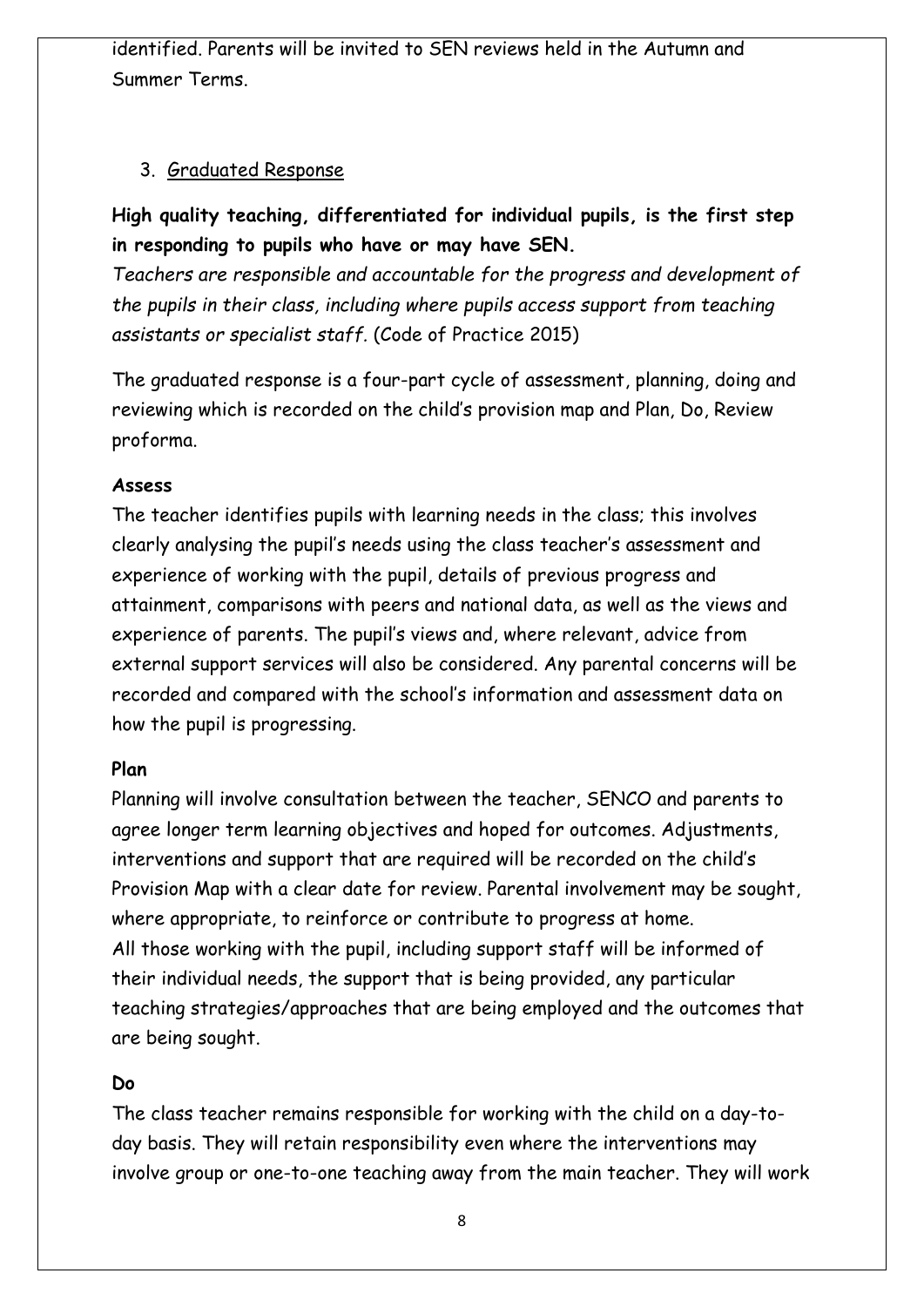identified. Parents will be invited to SEN reviews held in the Autumn and Summer Terms.

#### 3. Graduated Response

## **High quality teaching, differentiated for individual pupils, is the first step in responding to pupils who have or may have SEN.**

*Teachers are responsible and accountable for the progress and development of the pupils in their class, including where pupils access support from teaching assistants or specialist staff.* (Code of Practice 2015)

The graduated response is a four-part cycle of assessment, planning, doing and reviewing which is recorded on the child's provision map and Plan, Do, Review proforma.

#### **Assess**

The teacher identifies pupils with learning needs in the class; this involves clearly analysing the pupil's needs using the class teacher's assessment and experience of working with the pupil, details of previous progress and attainment, comparisons with peers and national data, as well as the views and experience of parents. The pupil's views and, where relevant, advice from external support services will also be considered. Any parental concerns will be recorded and compared with the school's information and assessment data on how the pupil is progressing.

#### **Plan**

Planning will involve consultation between the teacher, SENCO and parents to agree longer term learning objectives and hoped for outcomes. Adjustments, interventions and support that are required will be recorded on the child's Provision Map with a clear date for review. Parental involvement may be sought, where appropriate, to reinforce or contribute to progress at home. All those working with the pupil, including support staff will be informed of their individual needs, the support that is being provided, any particular teaching strategies/approaches that are being employed and the outcomes that are being sought.

#### **Do**

The class teacher remains responsible for working with the child on a day-today basis. They will retain responsibility even where the interventions may involve group or one-to-one teaching away from the main teacher. They will work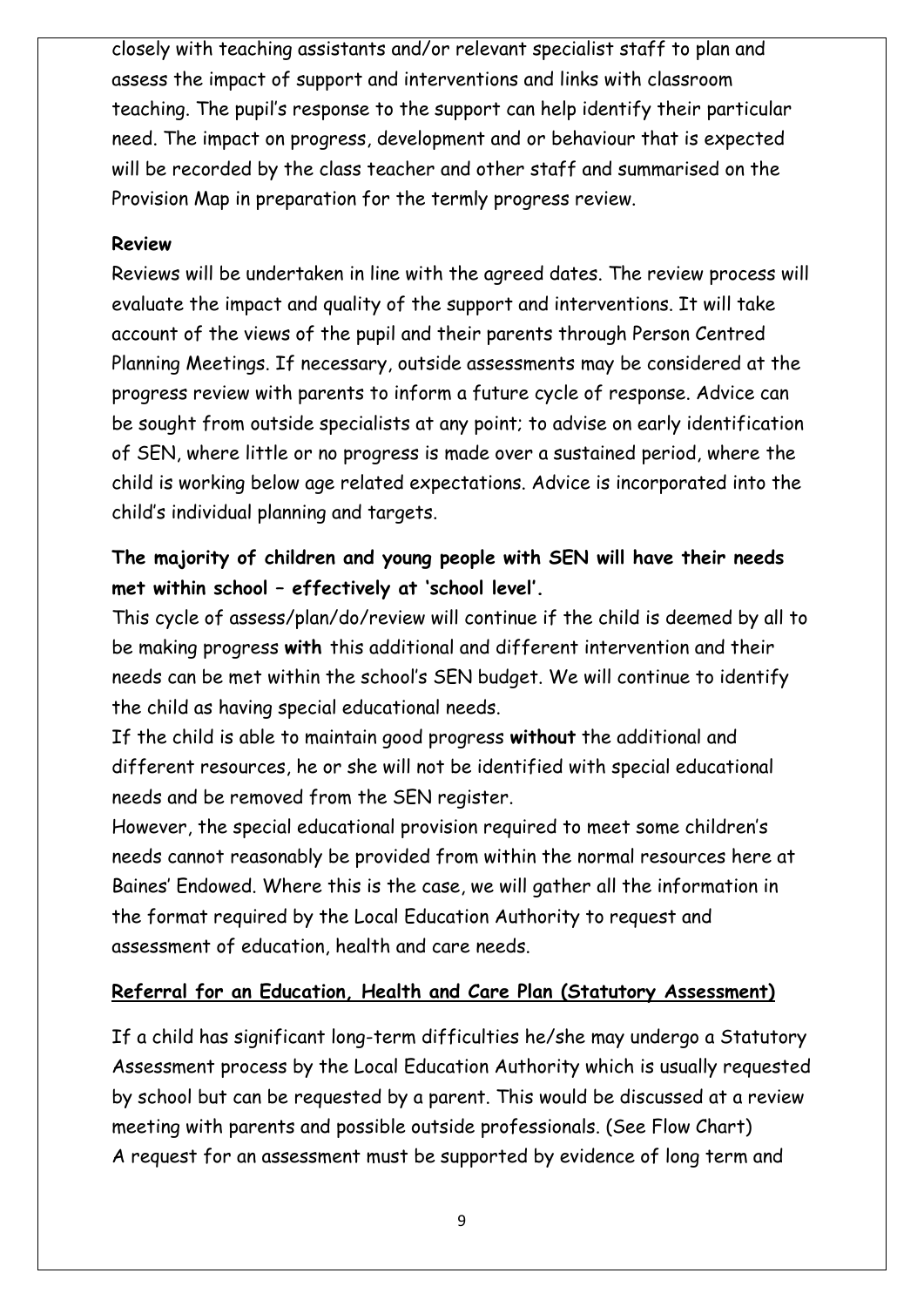closely with teaching assistants and/or relevant specialist staff to plan and assess the impact of support and interventions and links with classroom teaching. The pupil's response to the support can help identify their particular need. The impact on progress, development and or behaviour that is expected will be recorded by the class teacher and other staff and summarised on the Provision Map in preparation for the termly progress review.

#### **Review**

Reviews will be undertaken in line with the agreed dates. The review process will evaluate the impact and quality of the support and interventions. It will take account of the views of the pupil and their parents through Person Centred Planning Meetings. If necessary, outside assessments may be considered at the progress review with parents to inform a future cycle of response. Advice can be sought from outside specialists at any point; to advise on early identification of SEN, where little or no progress is made over a sustained period, where the child is working below age related expectations. Advice is incorporated into the child's individual planning and targets.

## **The majority of children and young people with SEN will have their needs met within school – effectively at 'school level'.**

This cycle of assess/plan/do/review will continue if the child is deemed by all to be making progress **with** this additional and different intervention and their needs can be met within the school's SEN budget. We will continue to identify the child as having special educational needs.

If the child is able to maintain good progress **without** the additional and different resources, he or she will not be identified with special educational needs and be removed from the SEN register.

However, the special educational provision required to meet some children's needs cannot reasonably be provided from within the normal resources here at Baines' Endowed. Where this is the case, we will gather all the information in the format required by the Local Education Authority to request and assessment of education, health and care needs.

#### **Referral for an Education, Health and Care Plan (Statutory Assessment)**

If a child has significant long-term difficulties he/she may undergo a Statutory Assessment process by the Local Education Authority which is usually requested by school but can be requested by a parent. This would be discussed at a review meeting with parents and possible outside professionals. (See Flow Chart) A request for an assessment must be supported by evidence of long term and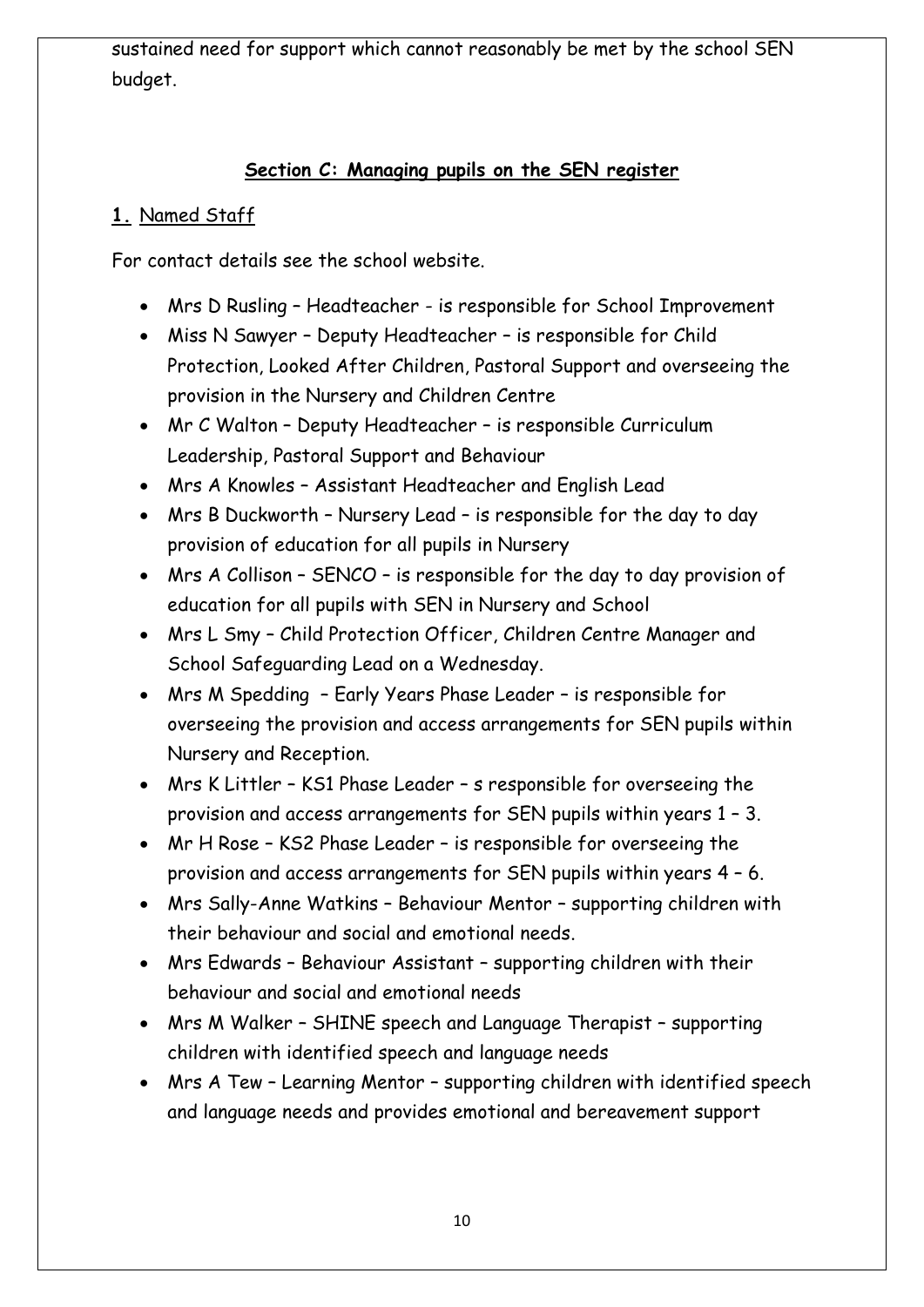sustained need for support which cannot reasonably be met by the school SEN budget.

#### **Section C: Managing pupils on the SEN register**

#### **1.** Named Staff

For contact details see the school website.

- Mrs D Rusling Headteacher is responsible for School Improvement
- Miss N Sawyer Deputy Headteacher is responsible for Child Protection, Looked After Children, Pastoral Support and overseeing the provision in the Nursery and Children Centre
- Mr C Walton Deputy Headteacher is responsible Curriculum Leadership, Pastoral Support and Behaviour
- Mrs A Knowles Assistant Headteacher and English Lead
- Mrs B Duckworth Nursery Lead is responsible for the day to day provision of education for all pupils in Nursery
- Mrs A Collison SENCO is responsible for the day to day provision of education for all pupils with SEN in Nursery and School
- Mrs L Smy Child Protection Officer, Children Centre Manager and School Safeguarding Lead on a Wednesday.
- Mrs M Spedding Early Years Phase Leader is responsible for overseeing the provision and access arrangements for SEN pupils within Nursery and Reception.
- Mrs K Littler KS1 Phase Leader s responsible for overseeing the provision and access arrangements for SEN pupils within years 1 – 3.
- Mr H Rose KS2 Phase Leader is responsible for overseeing the provision and access arrangements for SEN pupils within years 4 – 6.
- Mrs Sally-Anne Watkins Behaviour Mentor supporting children with their behaviour and social and emotional needs.
- Mrs Edwards Behaviour Assistant supporting children with their behaviour and social and emotional needs
- Mrs M Walker SHINE speech and Language Therapist supporting children with identified speech and language needs
- Mrs A Tew Learning Mentor supporting children with identified speech and language needs and provides emotional and bereavement support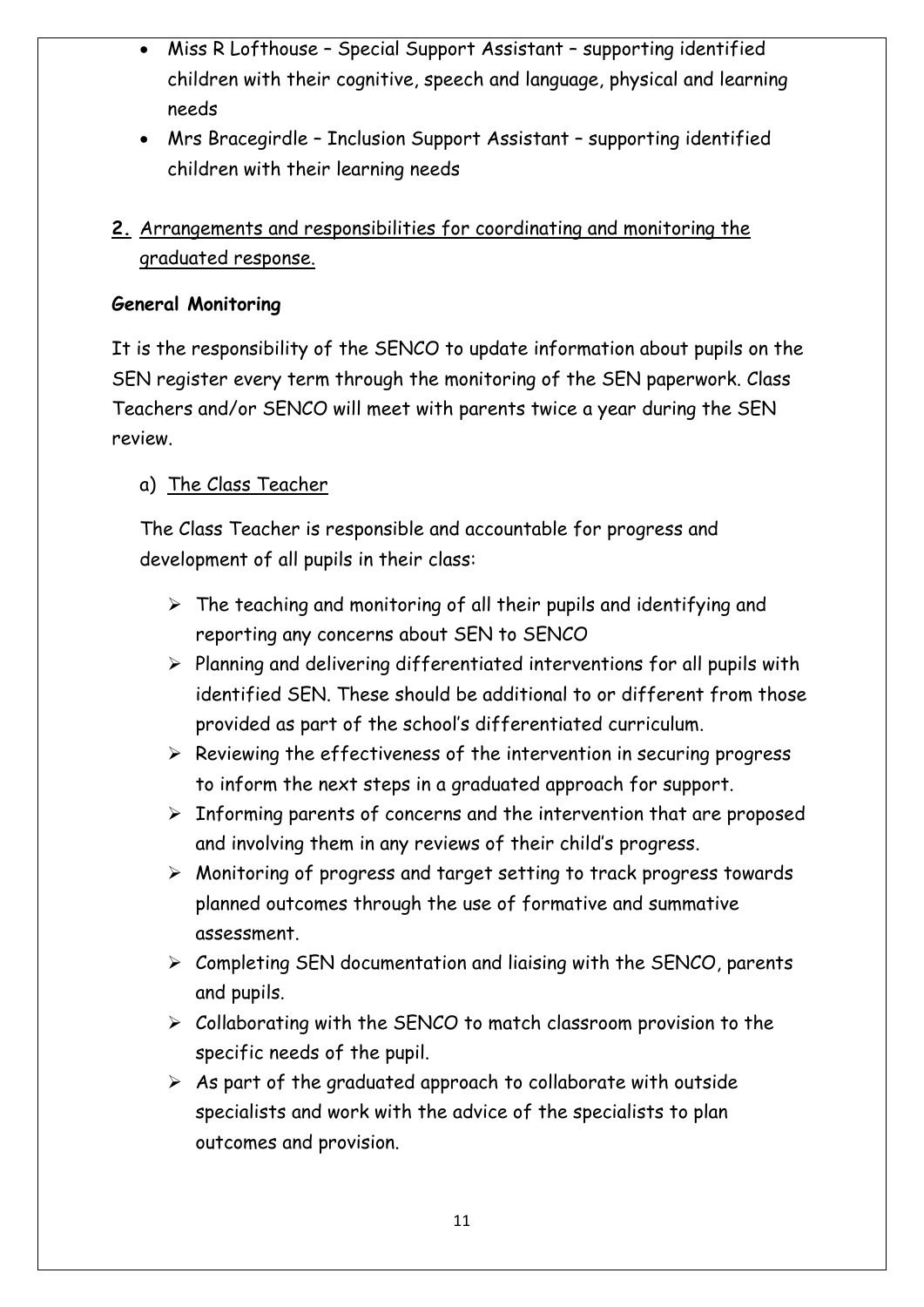- Miss R Lofthouse Special Support Assistant supporting identified children with their cognitive, speech and language, physical and learning needs
- Mrs Bracegirdle Inclusion Support Assistant supporting identified children with their learning needs

## **2.** Arrangements and responsibilities for coordinating and monitoring the graduated response.

#### **General Monitoring**

It is the responsibility of the SENCO to update information about pupils on the SEN register every term through the monitoring of the SEN paperwork. Class Teachers and/or SENCO will meet with parents twice a year during the SEN review.

#### a) The Class Teacher

The Class Teacher is responsible and accountable for progress and development of all pupils in their class:

- $\triangleright$  The teaching and monitoring of all their pupils and identifying and reporting any concerns about SEN to SENCO
- $\triangleright$  Planning and delivering differentiated interventions for all pupils with identified SEN. These should be additional to or different from those provided as part of the school's differentiated curriculum.
- $\triangleright$  Reviewing the effectiveness of the intervention in securing progress to inform the next steps in a graduated approach for support.
- $\triangleright$  Informing parents of concerns and the intervention that are proposed and involving them in any reviews of their child's progress.
- $\triangleright$  Monitoring of progress and target setting to track progress towards planned outcomes through the use of formative and summative assessment.
- $\triangleright$  Completing SEN documentation and liaising with the SENCO, parents and pupils.
- $\triangleright$  Collaborating with the SENCO to match classroom provision to the specific needs of the pupil.
- $\triangleright$  As part of the graduated approach to collaborate with outside specialists and work with the advice of the specialists to plan outcomes and provision.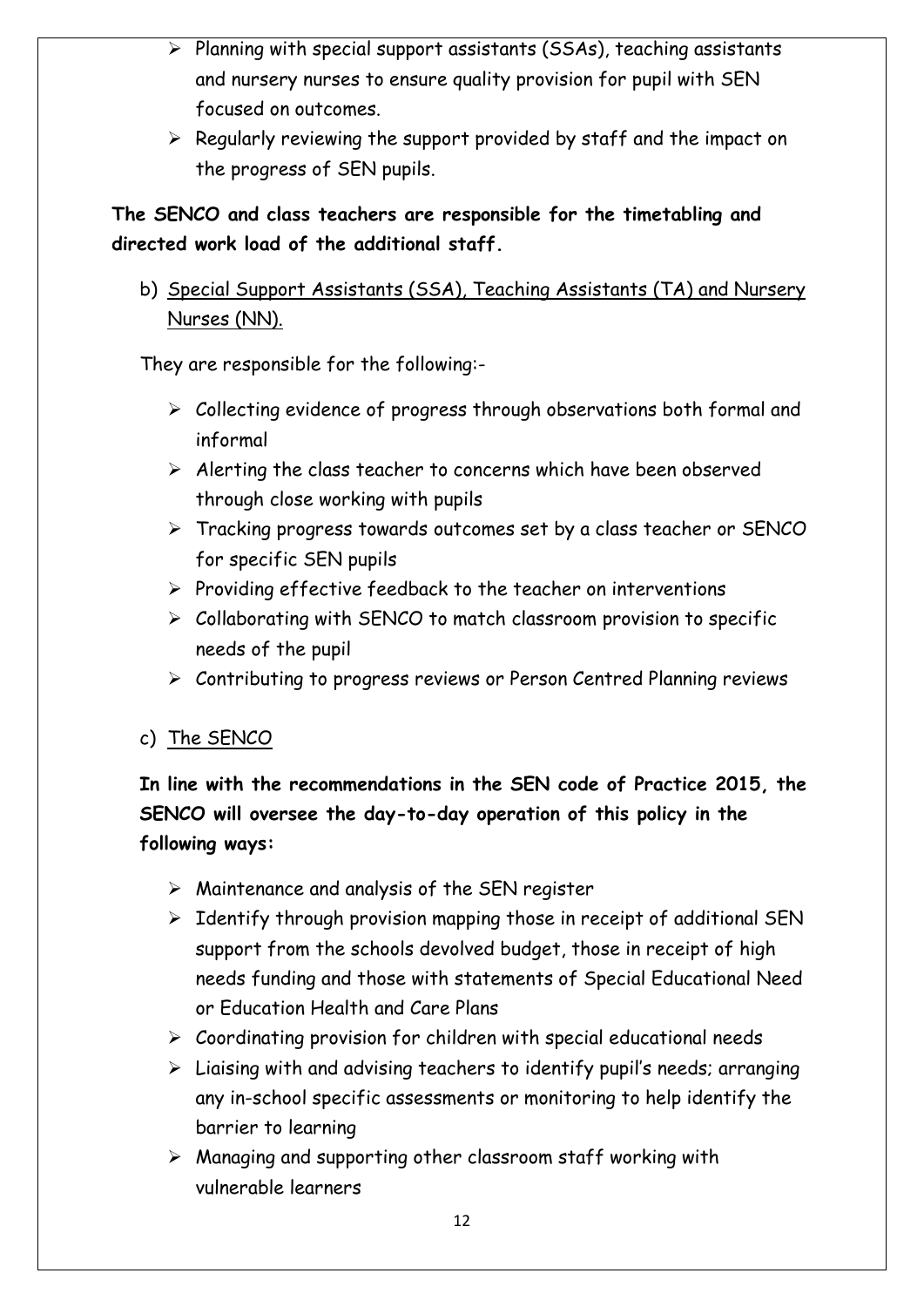- $\triangleright$  Planning with special support assistants (SSAs), teaching assistants and nursery nurses to ensure quality provision for pupil with SEN focused on outcomes.
- $\triangleright$  Regularly reviewing the support provided by staff and the impact on the progress of SEN pupils.

## **The SENCO and class teachers are responsible for the timetabling and directed work load of the additional staff.**

b) Special Support Assistants (SSA), Teaching Assistants (TA) and Nursery Nurses (NN).

They are responsible for the following:-

- $\triangleright$  Collecting evidence of progress through observations both formal and informal
- $\triangleright$  Alerting the class teacher to concerns which have been observed through close working with pupils
- Tracking progress towards outcomes set by a class teacher or SENCO for specific SEN pupils
- $\triangleright$  Providing effective feedback to the teacher on interventions
- $\triangleright$  Collaborating with SENCO to match classroom provision to specific needs of the pupil
- Contributing to progress reviews or Person Centred Planning reviews
- c) The SENCO

## **In line with the recommendations in the SEN code of Practice 2015, the SENCO will oversee the day-to-day operation of this policy in the following ways:**

- $\triangleright$  Maintenance and analysis of the SEN register
- $\triangleright$  Identify through provision mapping those in receipt of additional SEN support from the schools devolved budget, those in receipt of high needs funding and those with statements of Special Educational Need or Education Health and Care Plans
- $\triangleright$  Coordinating provision for children with special educational needs
- $\triangleright$  Liaising with and advising teachers to identify pupil's needs; arranging any in-school specific assessments or monitoring to help identify the barrier to learning
- $\triangleright$  Managing and supporting other classroom staff working with vulnerable learners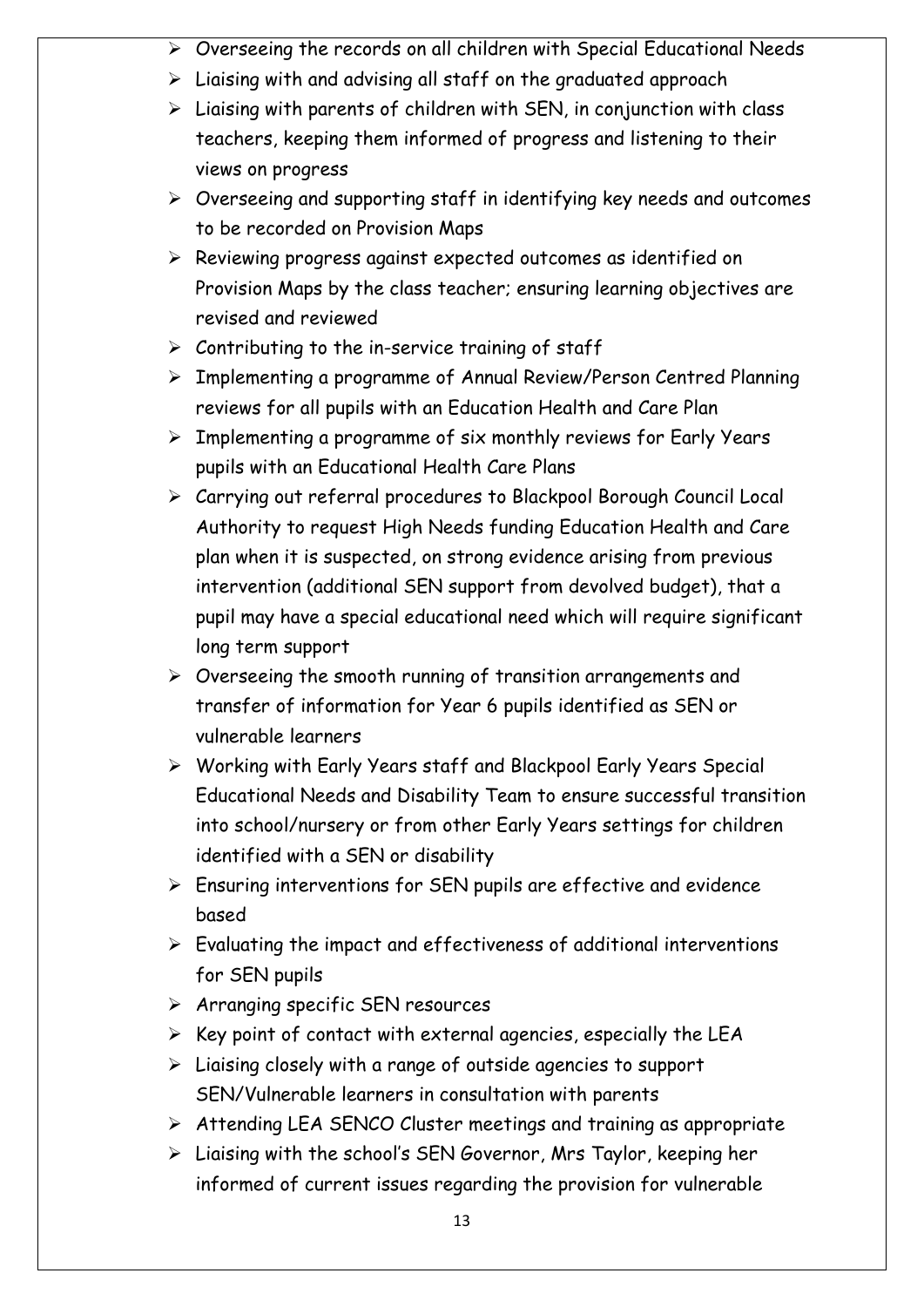- $\triangleright$  Overseeing the records on all children with Special Educational Needs
- $\triangleright$  Liaising with and advising all staff on the graduated approach
- $\triangleright$  Liaising with parents of children with SEN, in conjunction with class teachers, keeping them informed of progress and listening to their views on progress
- $\triangleright$  Overseeing and supporting staff in identifying key needs and outcomes to be recorded on Provision Maps
- $\triangleright$  Reviewing progress against expected outcomes as identified on Provision Maps by the class teacher; ensuring learning objectives are revised and reviewed
- $\triangleright$  Contributing to the in-service training of staff
- Implementing a programme of Annual Review/Person Centred Planning reviews for all pupils with an Education Health and Care Plan
- $\triangleright$  Implementing a programme of six monthly reviews for Early Years pupils with an Educational Health Care Plans
- Carrying out referral procedures to Blackpool Borough Council Local Authority to request High Needs funding Education Health and Care plan when it is suspected, on strong evidence arising from previous intervention (additional SEN support from devolved budget), that a pupil may have a special educational need which will require significant long term support
- $\triangleright$  Overseeing the smooth running of transition arrangements and transfer of information for Year 6 pupils identified as SEN or vulnerable learners
- Working with Early Years staff and Blackpool Early Years Special Educational Needs and Disability Team to ensure successful transition into school/nursery or from other Early Years settings for children identified with a SEN or disability
- $\triangleright$  Ensuring interventions for SEN pupils are effective and evidence based
- $\triangleright$  Evaluating the impact and effectiveness of additional interventions for SEN pupils
- $\triangleright$  Arranging specific SEN resources
- $\triangleright$  Key point of contact with external agencies, especially the LEA
- $\triangleright$  Liaising closely with a range of outside agencies to support SEN/Vulnerable learners in consultation with parents
- Attending LEA SENCO Cluster meetings and training as appropriate
- $\triangleright$  Liaising with the school's SEN Governor, Mrs Taylor, keeping her informed of current issues regarding the provision for vulnerable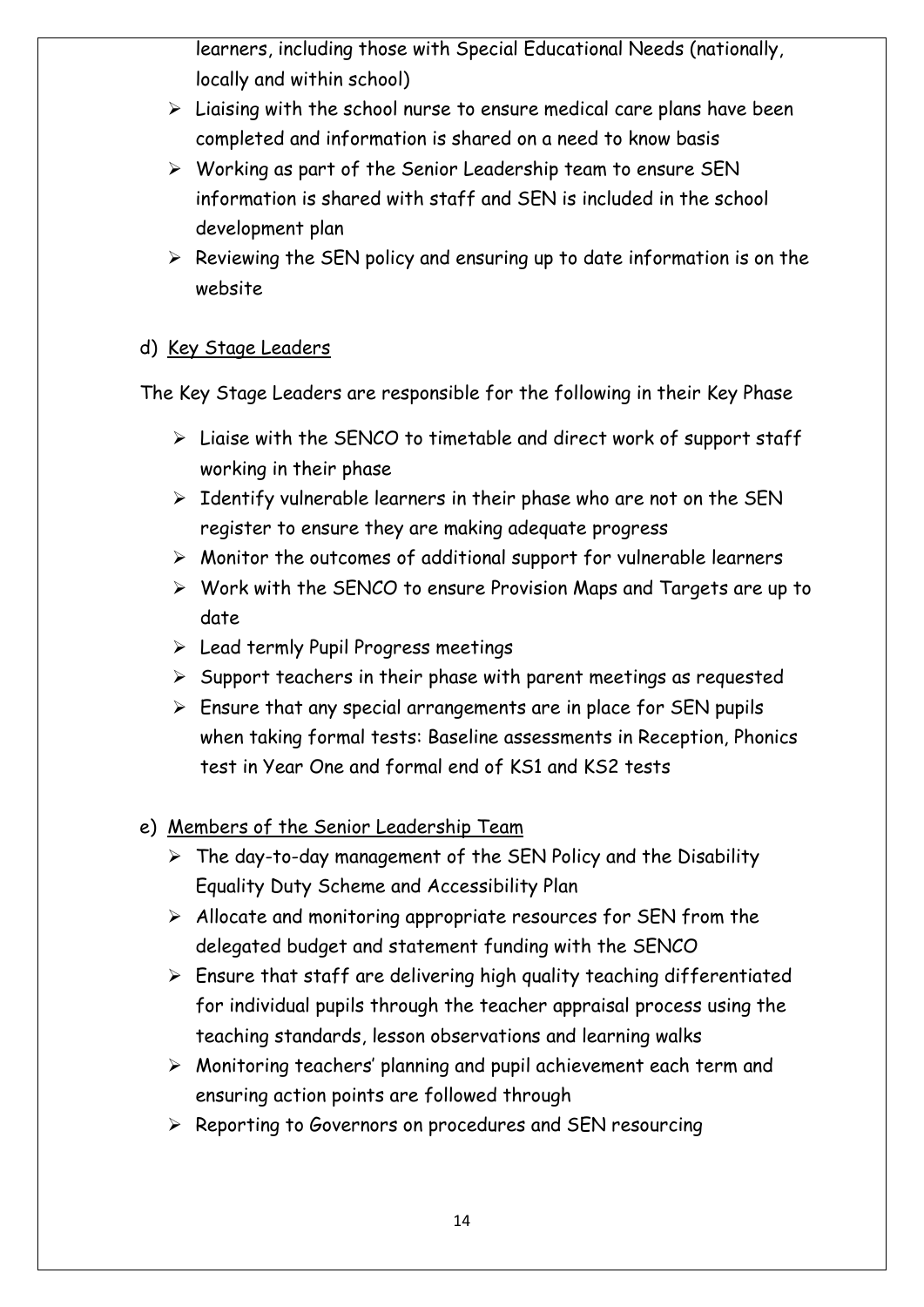learners, including those with Special Educational Needs (nationally, locally and within school)

- $\triangleright$  Liaising with the school nurse to ensure medical care plans have been completed and information is shared on a need to know basis
- $\triangleright$  Working as part of the Senior Leadership team to ensure SEN information is shared with staff and SEN is included in the school development plan
- $\triangleright$  Reviewing the SEN policy and ensuring up to date information is on the website

#### d) Key Stage Leaders

The Key Stage Leaders are responsible for the following in their Key Phase

- $\triangleright$  Liaise with the SENCO to timetable and direct work of support staff working in their phase
- $\triangleright$  Identify vulnerable learners in their phase who are not on the SEN register to ensure they are making adequate progress
- $\triangleright$  Monitor the outcomes of additional support for vulnerable learners
- $\triangleright$  Work with the SENCO to ensure Provision Maps and Targets are up to date
- $\triangleright$  Lead termly Pupil Progress meetings
- $\triangleright$  Support teachers in their phase with parent meetings as requested
- $\triangleright$  Ensure that any special arrangements are in place for SEN pupils when taking formal tests: Baseline assessments in Reception, Phonics test in Year One and formal end of KS1 and KS2 tests
- e) Members of the Senior Leadership Team
	- $\triangleright$  The day-to-day management of the SEN Policy and the Disability Equality Duty Scheme and Accessibility Plan
	- $\triangleright$  Allocate and monitoring appropriate resources for SEN from the delegated budget and statement funding with the SENCO
	- $\triangleright$  Ensure that staff are delivering high quality teaching differentiated for individual pupils through the teacher appraisal process using the teaching standards, lesson observations and learning walks
	- $\triangleright$  Monitoring teachers' planning and pupil achievement each term and ensuring action points are followed through
	- $\triangleright$  Reporting to Governors on procedures and SEN resourcing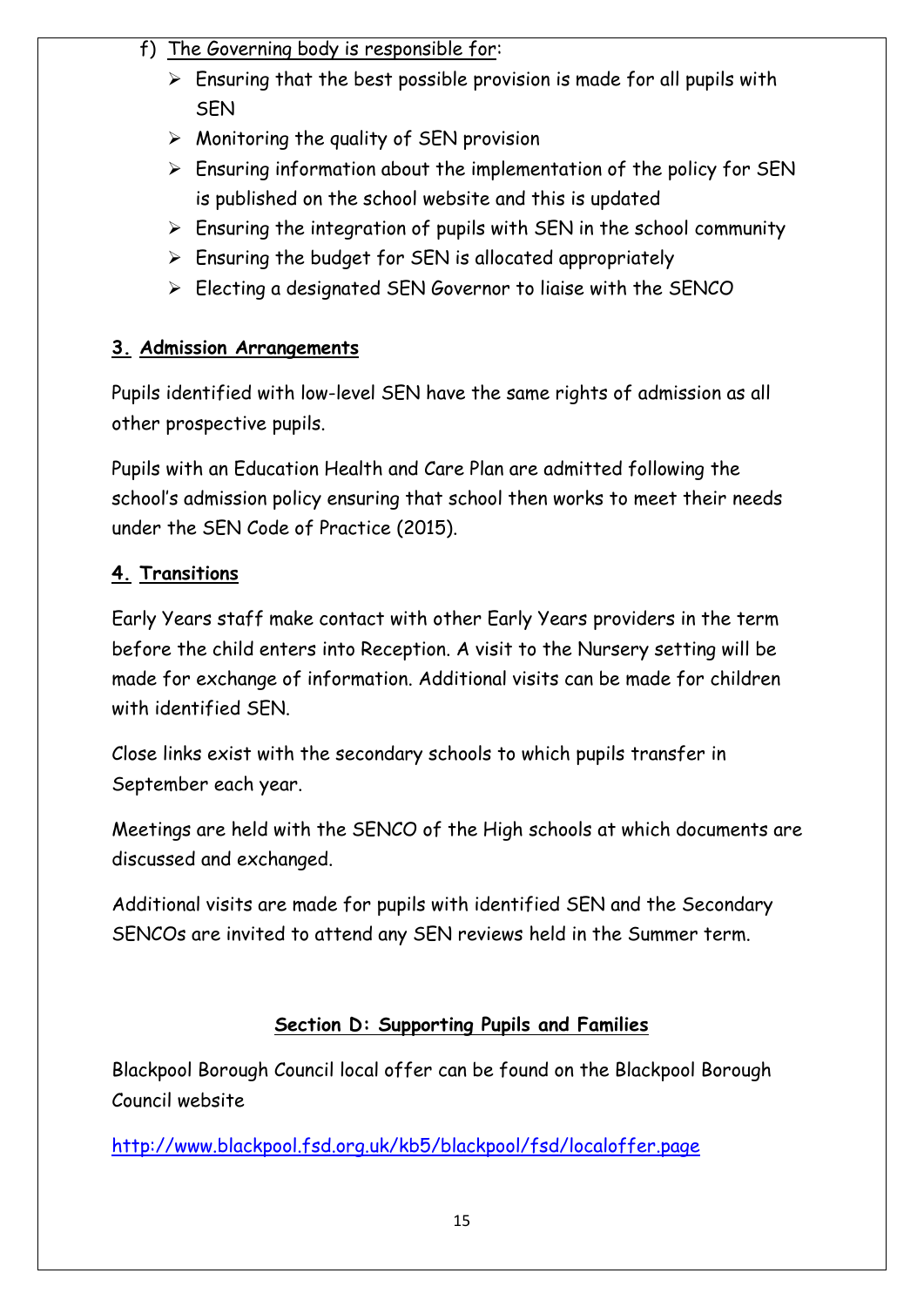## f) The Governing body is responsible for:

- $\triangleright$  Ensuring that the best possible provision is made for all pupils with SEN
- $\triangleright$  Monitoring the quality of SEN provision
- $\triangleright$  Ensuring information about the implementation of the policy for SEN is published on the school website and this is updated
- $\triangleright$  Ensuring the integration of pupils with SEN in the school community
- $\triangleright$  Ensuring the budget for SEN is allocated appropriately
- $\triangleright$  Electing a designated SEN Governor to liaise with the SENCO

## **3. Admission Arrangements**

Pupils identified with low-level SEN have the same rights of admission as all other prospective pupils.

Pupils with an Education Health and Care Plan are admitted following the school's admission policy ensuring that school then works to meet their needs under the SEN Code of Practice (2015).

## **4. Transitions**

Early Years staff make contact with other Early Years providers in the term before the child enters into Reception. A visit to the Nursery setting will be made for exchange of information. Additional visits can be made for children with identified SFN

Close links exist with the secondary schools to which pupils transfer in September each year.

Meetings are held with the SENCO of the High schools at which documents are discussed and exchanged.

Additional visits are made for pupils with identified SEN and the Secondary SENCOs are invited to attend any SEN reviews held in the Summer term.

## **Section D: Supporting Pupils and Families**

Blackpool Borough Council local offer can be found on the Blackpool Borough Council website

<http://www.blackpool.fsd.org.uk/kb5/blackpool/fsd/localoffer.page>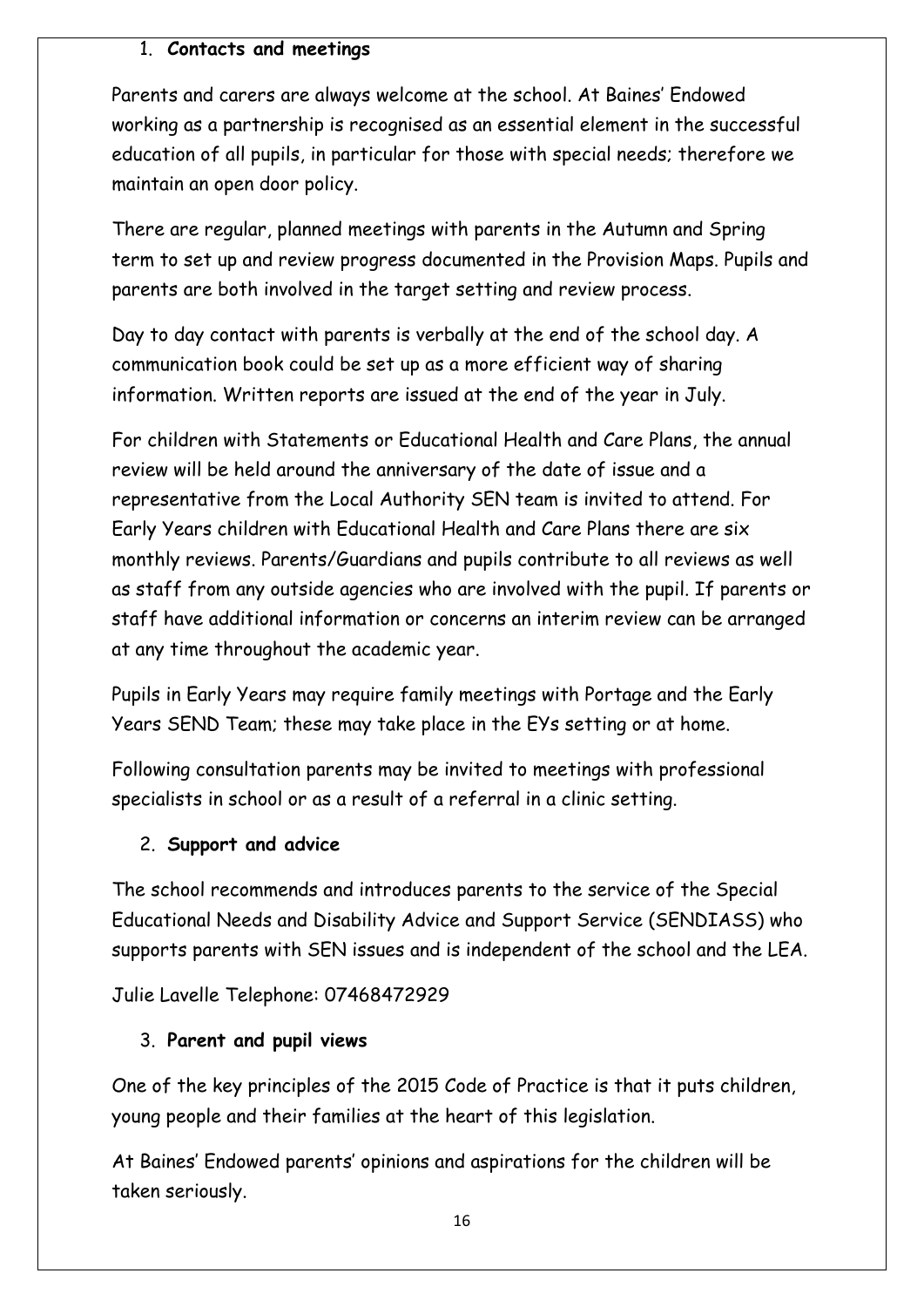#### 1. **Contacts and meetings**

Parents and carers are always welcome at the school. At Baines' Endowed working as a partnership is recognised as an essential element in the successful education of all pupils, in particular for those with special needs; therefore we maintain an open door policy.

There are regular, planned meetings with parents in the Autumn and Spring term to set up and review progress documented in the Provision Maps. Pupils and parents are both involved in the target setting and review process.

Day to day contact with parents is verbally at the end of the school day. A communication book could be set up as a more efficient way of sharing information. Written reports are issued at the end of the year in July.

For children with Statements or Educational Health and Care Plans, the annual review will be held around the anniversary of the date of issue and a representative from the Local Authority SEN team is invited to attend. For Early Years children with Educational Health and Care Plans there are six monthly reviews. Parents/Guardians and pupils contribute to all reviews as well as staff from any outside agencies who are involved with the pupil. If parents or staff have additional information or concerns an interim review can be arranged at any time throughout the academic year.

Pupils in Early Years may require family meetings with Portage and the Early Years SEND Team; these may take place in the EYs setting or at home.

Following consultation parents may be invited to meetings with professional specialists in school or as a result of a referral in a clinic setting.

#### 2. **Support and advice**

The school recommends and introduces parents to the service of the Special Educational Needs and Disability Advice and Support Service (SENDIASS) who supports parents with SEN issues and is independent of the school and the LEA.

Julie Lavelle Telephone: 07468472929

#### 3. **Parent and pupil views**

One of the key principles of the 2015 Code of Practice is that it puts children, young people and their families at the heart of this legislation.

At Baines' Endowed parents' opinions and aspirations for the children will be taken seriously.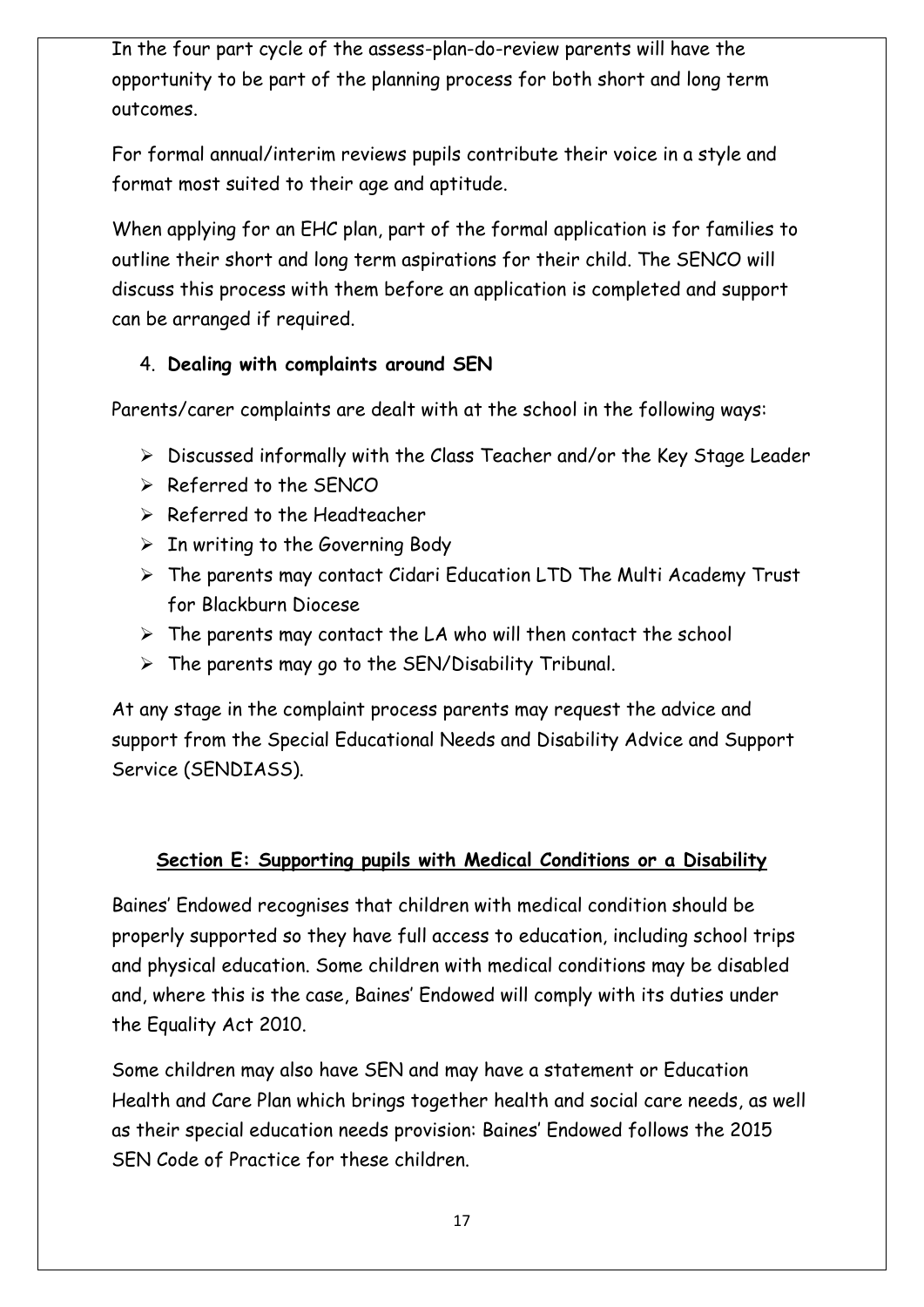In the four part cycle of the assess-plan-do-review parents will have the opportunity to be part of the planning process for both short and long term outcomes.

For formal annual/interim reviews pupils contribute their voice in a style and format most suited to their age and aptitude.

When applying for an EHC plan, part of the formal application is for families to outline their short and long term aspirations for their child. The SENCO will discuss this process with them before an application is completed and support can be arranged if required.

#### 4. **Dealing with complaints around SEN**

Parents/carer complaints are dealt with at the school in the following ways:

- $\triangleright$  Discussed informally with the Class Teacher and/or the Key Stage Leader
- $\triangleright$  Referred to the SFNCO
- $\triangleright$  Referred to the Headteacher
- $\triangleright$  In writing to the Governing Body
- $\triangleright$  The parents may contact Cidari Education LTD The Multi Academy Trust for Blackburn Diocese
- $\triangleright$  The parents may contact the LA who will then contact the school
- $\triangleright$  The parents may go to the SEN/Disability Tribunal.

At any stage in the complaint process parents may request the advice and support from the Special Educational Needs and Disability Advice and Support Service (SENDIASS).

#### **Section E: Supporting pupils with Medical Conditions or a Disability**

Baines' Endowed recognises that children with medical condition should be properly supported so they have full access to education, including school trips and physical education. Some children with medical conditions may be disabled and, where this is the case, Baines' Endowed will comply with its duties under the Equality Act 2010.

Some children may also have SEN and may have a statement or Education Health and Care Plan which brings together health and social care needs, as well as their special education needs provision: Baines' Endowed follows the 2015 SEN Code of Practice for these children.